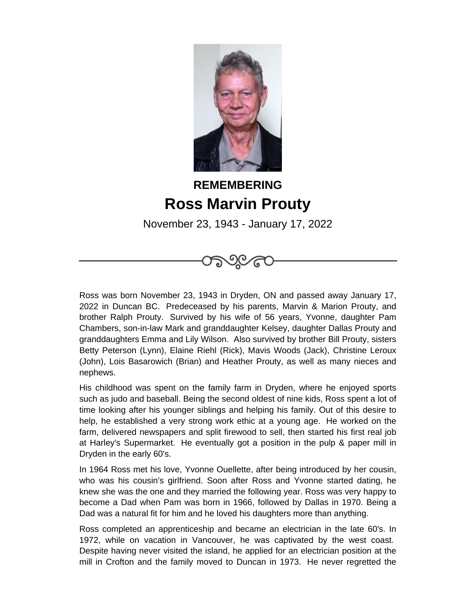

## **REMEMBERING Ross Marvin Prouty**

November 23, 1943 - January 17, 2022



Ross was born November 23, 1943 in Dryden, ON and passed away January 17, 2022 in Duncan BC. Predeceased by his parents, Marvin & Marion Prouty, and brother Ralph Prouty. Survived by his wife of 56 years, Yvonne, daughter Pam Chambers, son-in-law Mark and granddaughter Kelsey, daughter Dallas Prouty and granddaughters Emma and Lily Wilson. Also survived by brother Bill Prouty, sisters Betty Peterson (Lynn), Elaine Riehl (Rick), Mavis Woods (Jack), Christine Leroux (John), Lois Basarowich (Brian) and Heather Prouty, as well as many nieces and nephews.

His childhood was spent on the family farm in Dryden, where he enjoyed sports such as judo and baseball. Being the second oldest of nine kids, Ross spent a lot of time looking after his younger siblings and helping his family. Out of this desire to help, he established a very strong work ethic at a young age. He worked on the farm, delivered newspapers and split firewood to sell, then started his first real job at Harley's Supermarket. He eventually got a position in the pulp & paper mill in Dryden in the early 60's.

In 1964 Ross met his love, Yvonne Ouellette, after being introduced by her cousin, who was his cousin's girlfriend. Soon after Ross and Yvonne started dating, he knew she was the one and they married the following year. Ross was very happy to become a Dad when Pam was born in 1966, followed by Dallas in 1970. Being a Dad was a natural fit for him and he loved his daughters more than anything.

Ross completed an apprenticeship and became an electrician in the late 60's. In 1972, while on vacation in Vancouver, he was captivated by the west coast. Despite having never visited the island, he applied for an electrician position at the mill in Crofton and the family moved to Duncan in 1973. He never regretted the